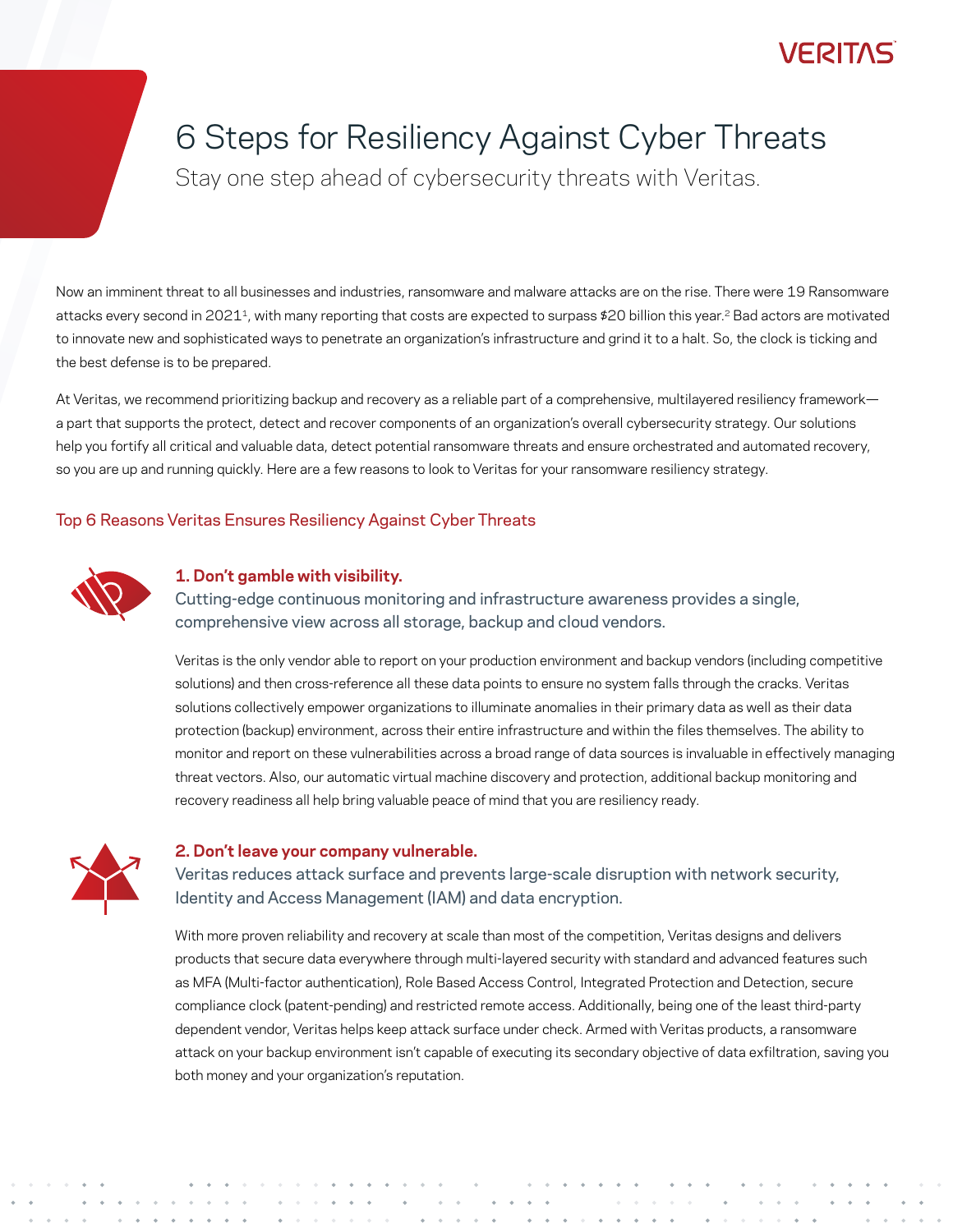## /FRT1

## 6 Steps for Resiliency Against Cyber Threats

Stay one step ahead of cybersecurity threats with Veritas.

Now an imminent threat to all businesses and industries, ransomware and malware attacks are on the rise. There were [19 Ransomware](https://www.sonicwall.com/resources/white-papers/2022-sonicwall-cyber-threat-report/)  attacks every second in 2021<sup>1</sup>, with many reporting that costs are expected to surpass \$20 billion this year.<sup>2</sup> Bad actors are motivated to innovate new and sophisticated ways to penetrate an organization's infrastructure and grind it to a halt. So, the clock is ticking and the best defense is to be prepared.

At Veritas, we recommend prioritizing backup and recovery as a reliable part of a comprehensive, multilayered resiliency framework a part that supports the protect, detect and recover components of an organization's overall cybersecurity strategy. Our solutions help you fortify all critical and valuable data, detect potential ransomware threats and ensure orchestrated and automated recovery, so you are up and running quickly. Here are a few reasons to look to Veritas for your ransomware resiliency strategy.

## Top 6 Reasons Veritas Ensures Resiliency Against Cyber Threats



## **1. Don't gamble with visibility.**

Cutting-edge continuous monitoring and infrastructure awareness provides a single, comprehensive view across all storage, backup and cloud vendors.

Veritas is the only vendor able to report on your production environment and backup vendors (including competitive solutions) and then cross-reference all these data points to ensure no system falls through the cracks. Veritas solutions collectively empower organizations to illuminate anomalies in their primary data as well as their data protection (backup) environment, across their entire infrastructure and within the files themselves. The ability to monitor and report on these vulnerabilities across a broad range of data sources is invaluable in effectively managing threat vectors. Also, our automatic virtual machine discovery and protection, additional backup monitoring and recovery readiness all help bring valuable peace of mind that you are resiliency ready.



#### **2. Don't leave your company vulnerable.**

Veritas reduces attack surface and prevents large-scale disruption with network security, Identity and Access Management (IAM) and data encryption.

With more proven reliability and recovery at scale than most of the competition, Veritas designs and delivers products that secure data everywhere through multi-layered security with standard and advanced features such as MFA (Multi-factor authentication), Role Based Access Control, Integrated Protection and Detection, secure compliance clock (patent-pending) and restricted remote access. Additionally, being one of the least third-party dependent vendor, Veritas helps keep attack surface under check. Armed with Veritas products, a ransomware attack on your backup environment isn't capable of executing its secondary objective of data exfiltration, saving you both money and your organization's reputation.